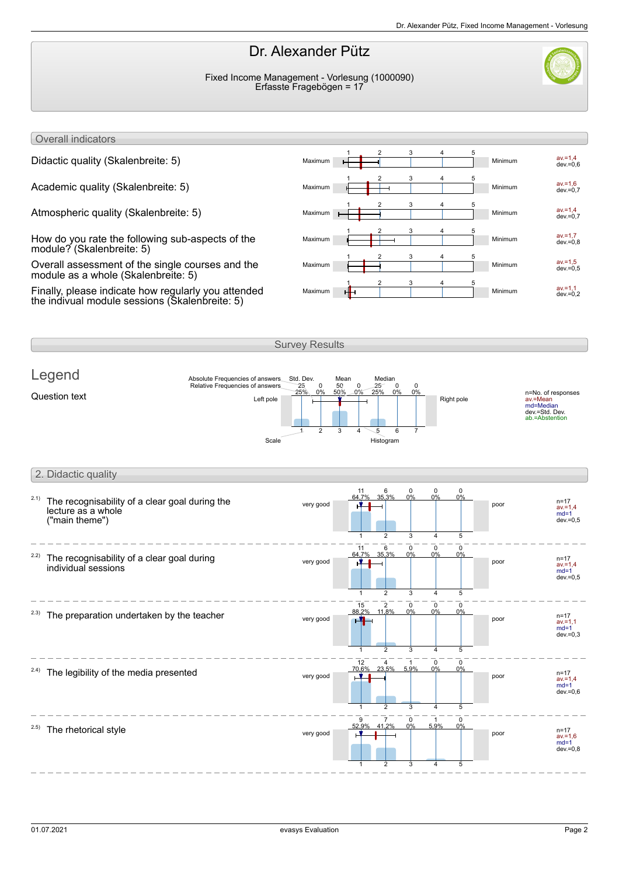## Dr. Alexander Pütz

Fixed Income Management - Vorlesung (1000090) Erfasste Fragebögen = 17



Overall indicators

How do you rate the following sub-aspects of the module? (Skalenbreite: 5)

Overall assessment of the single courses and the module as a whole (Skalenbreite: 5)

Finally, please indicate how regularly you attended the indivual module sessions (Skalenbreite: 5)



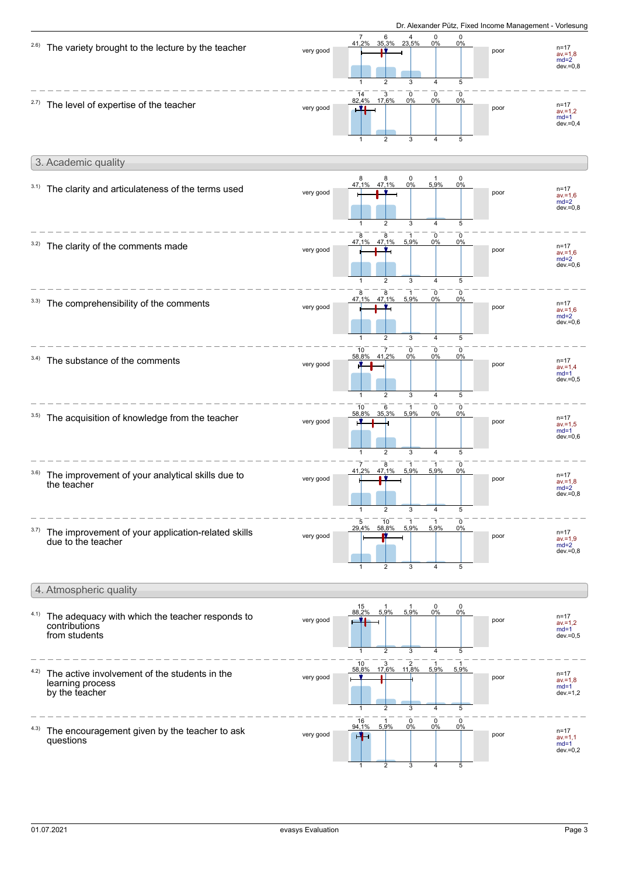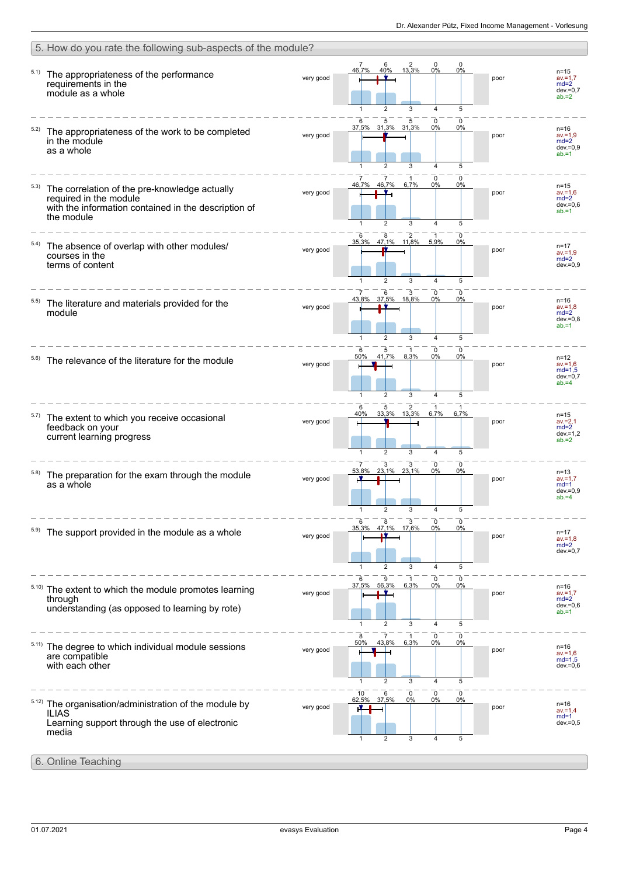|       | 5. How do you rate the following sub-aspects of the module?                                                                                   |           |                                                                                                                                                    |      |                                                               |  |  |
|-------|-----------------------------------------------------------------------------------------------------------------------------------------------|-----------|----------------------------------------------------------------------------------------------------------------------------------------------------|------|---------------------------------------------------------------|--|--|
| 5.1)  | The appropriateness of the performance<br>requirements in the<br>module as a whole                                                            | very good | 0<br>6<br>$\frac{2}{13,3\%}$<br>0<br>7<br>40%<br>0%<br>0%<br>46,7%<br>5<br>$\overline{2}$<br>3<br>$\overline{\mathbf{A}}$                          | poor | $n = 15$<br>$av = 1.7$<br>$md=2$<br>$dev = 0.7$<br>$ab = 2$   |  |  |
|       | The appropriateness of the work to be completed<br>in the module<br>as a whole                                                                | very good | 5<br>0<br>0<br>5<br>31,3% 31,3%<br>0%<br>37,5%<br>0%<br>3<br>5<br>2<br>$\overline{\mathbf{A}}$                                                     | poor | $n = 16$<br>$av = 1.9$<br>$md=2$<br>$dev = 0,9$<br>$ab = 1$   |  |  |
| 5.3)  | The correlation of the pre-knowledge actually<br>required in the module<br>with the information contained in the description of<br>the module | very good | $\overline{7}$<br>0<br>0<br>1<br>46,7%<br>46,7%<br>0%<br>6,7%<br>0%<br>$\overline{2}$<br>3<br>5<br>4                                               | poor | $n = 15$<br>$av = 1,6$<br>$md=2$<br>$dev = 0,6$<br>$ab = 1$   |  |  |
| 5.4)  | The absence of overlap with other modules/<br>courses in the<br>terms of content                                                              | very good | 6<br>$\begin{array}{r} 8 & 2 \\ 47,1\% & 11,8\% \end{array}$<br>0<br>5,9%<br>35,3%<br>$0\%$<br>5<br>$\overline{2}$<br>3<br>$\overline{\mathbf{A}}$ | poor | $n = 17$<br>$av = 1.9$<br>$md=2$<br>$dev = 0.9$               |  |  |
| 5.5)  | The literature and materials provided for the<br>module                                                                                       | very good | $\mathbf{0}$<br>6<br>3<br>0<br>37.5% 18.8%<br>43.8%<br>0%<br>$0\%$<br>$\overline{2}$<br>3<br>$\overline{4}$<br>5                                   | poor | $n = 16$<br>$av = 1.8$<br>$md=2$<br>$dev = 0.8$<br>$ab = 1$   |  |  |
| 5.6)  | The relevance of the literature for the module                                                                                                | very good | $\mathbf 0$<br>0<br>6<br>5<br>41,7%<br>8,3%<br>50%<br>0%<br>0%<br>2<br>3<br>4<br>5<br>$\mathbf 1$                                                  | poor | $n = 12$<br>$av = 1.6$<br>$md=1,5$<br>$dev = 0,7$<br>$ab = 4$ |  |  |
| 5.7)  | The extent to which you receive occasional<br>feedback on your<br>current learning progress                                                   | very good | 6<br>2<br>5<br>33,3% 13,3%<br>6,7%<br>6,7%<br>40%<br>$\overline{2}$<br>5<br>3<br>$\overline{\mathbf{A}}$                                           | poor | $n = 15$<br>$av = 2,1$<br>$md=2$<br>$dev = 1,2$<br>$ab = 2$   |  |  |
|       | The preparation for the exam through the module<br>as a whole                                                                                 | very good | 3<br>3<br>0<br>0<br>23,1% 23,1%<br>53,8%<br>0%<br>$0\%$                                                                                            | poor | $n = 13$<br>$av = 1.7$<br>$md=1$<br>$dev = 0,9$<br>$ab = 4$   |  |  |
|       | The support provided in the module as a whole                                                                                                 | very good | 6<br>3<br>$\mathbf 0$<br>8<br>0<br>47,1% 17,6%<br>0%<br>35,3%<br>0%<br>5<br>2<br>3<br>4                                                            | poor | $n = 17$<br>$av = 1,8$<br>$md=2$<br>$dev = 0,7$               |  |  |
| 5.10) | The extent to which the module promotes learning<br>through<br>understanding (as opposed to learning by rote)                                 | very good | $\mathbf 0$<br>6<br>9<br>$\mathbf{1}$<br>0<br>37,5%<br>56,3%<br>6,3%<br>0%<br>0%<br>$\overline{2}$<br>5<br>3<br>4<br>1                             | poor | $n = 16$<br>$av = 1.7$<br>$md=2$<br>$dev = 0,6$<br>$ab = 1$   |  |  |
|       | The degree to which individual module sessions<br>are compatible<br>with each other                                                           | very good | $\mathbf 0$<br>8<br>$\overline{7}$<br>0<br>-1<br>43,8%<br>6,3%<br>0%<br>50%<br>0%<br>5<br>$\mathbf{1}$<br>$\overline{2}$<br>3<br>$\overline{4}$    | poor | $n = 16$<br>$av = 1,6$<br>$md=1.5$<br>$dev = 0.6$             |  |  |
| 5.12) | The organisation/administration of the module by<br><b>ILIAS</b><br>Learning support through the use of electronic<br>media                   | very good | 10<br>6<br>0<br>0<br>0<br>62,5%<br>37,5%<br>0%<br>0%<br>0%<br>$\overline{2}$<br>3<br>$\overline{4}$<br>5<br>1                                      | poor | $n = 16$<br>$av = 1,4$<br>$md=1$<br>$dev = 0,5$               |  |  |
|       | 6. Online Teaching                                                                                                                            |           |                                                                                                                                                    |      |                                                               |  |  |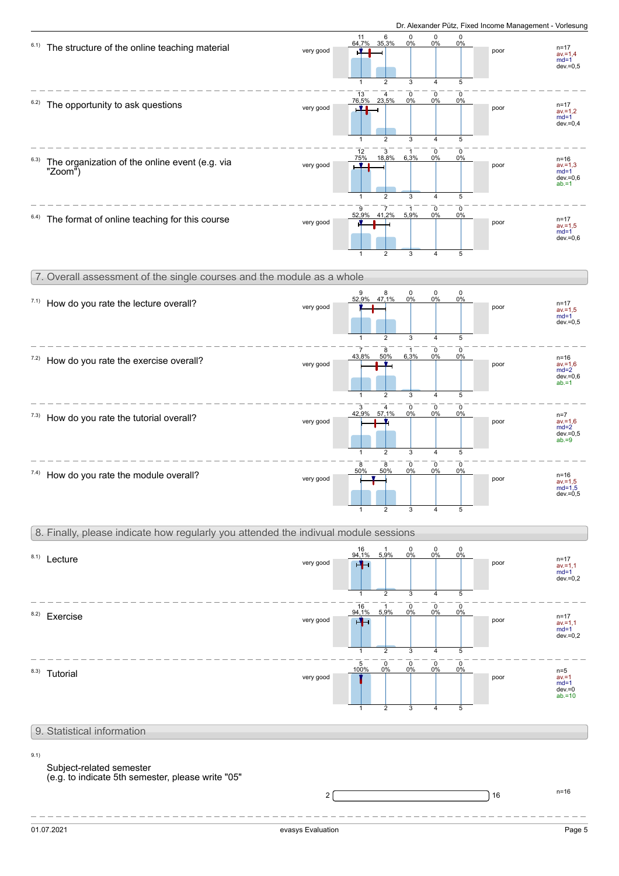

## 9. Statistical information

9.1)

## Subject-related semester

(e.g. to indicate 5th semester, please write "05"

 $2\sqrt{ }$  n=16